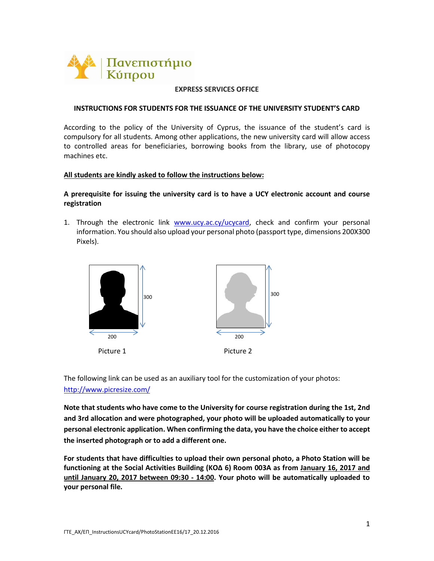

### **EXPRESS SERVICES OFFICE**

#### **INSTRUCTIONS FOR STUDENTS FOR THE ISSUANCE OF THE UNIVERSITY STUDENT'S CARD**

According to the policy of the University of Cyprus, the issuance of the student's card is compulsory for all students. Among other applications, the new university card will allow access to controlled areas for beneficiaries, borrowing books from the library, use of photocopy machines etc.

### **All students are kindly asked to follow the instructions below:**

## **A prerequisite for issuing the university card is to have a UCY electronic account and course registration**

1. Through the electronic link [www.ucy.ac.cy/ucycard,](http://www.ucy.ac.cy/ucycard) check and confirm your personal information. You should also upload your personal photo (passport type, dimensions 200X300 Pixels).



The following link can be used as an auxiliary tool for the customization of your photos: <http://www.picresize.com/>

**Note that students who have come to the University for course registration during the 1st, 2nd and 3rd allocation and were photographed, your photo will be uploaded automatically to your personal electronic application. When confirming the data, you have the choice either to accept the inserted photograph or to add a different one.**

**For students that have difficulties to upload their own personal photo, a Photo Station will be functioning at the Social Activities Building (KOΔ 6) Room 003A as from January 16, 2017 and until January 20, 2017 between 09:30 - 14:00. Your photo will be automatically uploaded to your personal file.**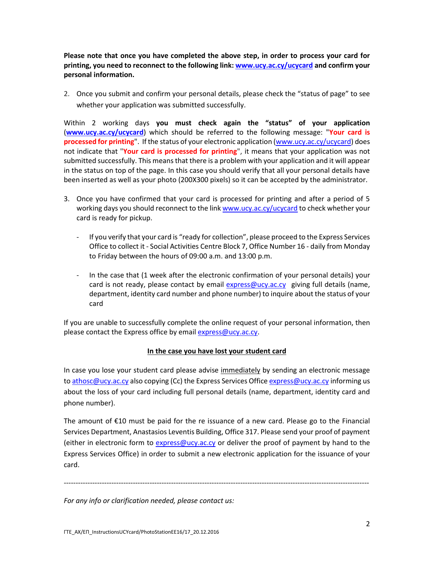**Please note that once you have completed the above step, in order to process your card for printing, you need to reconnect to the following link[: www.ucy.ac.cy/ucycard](http://www.ucy.ac.cy/ucycard) and confirm your personal information.**

2. Once you submit and confirm your personal details, please check the "status of page" to see whether your application was submitted successfully.

Within 2 working days **you must check again the "status" of your application** (**[www.ucy.ac.cy/ucycard](http://www.ucy.ac.cy/ucycard)**) which should be referred to the following message: "**Your card is processed for printing**". If the status of your electronic application [\(www.ucy.ac.cy/ucycard\)](http://www.ucy.ac.cy/ucycard) does not indicate that "**Your card is processed for printing**", it means that your application was not submitted successfully. This means that there is a problem with your application and it will appear in the status on top of the page. In this case you should verify that all your personal details have been inserted as well as your photo (200X300 pixels) so it can be accepted by the administrator.

- 3. Once you have confirmed that your card is processed for printing and after a period of 5 working days you should reconnect to the link [www.ucy.ac.cy/ucycard](http://www.ucy.ac.cy/ucycard) to check whether your card is ready for pickup.
	- If you verify that your card is "ready for collection", please proceed to the Express Services Office to collect it - Social Activities Centre Block 7, Office Number 16 - daily from Monday to Friday between the hours of 09:00 a.m. and 13:00 p.m.
	- In the case that (1 week after the electronic confirmation of your personal details) your card is not ready, please contact by email [express@ucy.ac.cy](mailto:express@ucy.ac.cy) giving full details (name, department, identity card number and phone number) to inquire about the status of your card

If you are unable to successfully complete the online request of your personal information, then please contact the Express office by email [express@ucy.ac.cy.](mailto:express@ucy.ac.cy)

# **In the case you have lost your student card**

In case you lose your student card please advise immediately by sending an electronic message t[o athosc@ucy.ac.cy](mailto:athosc@ucy.ac.cy) also copying (Cc) the Express Services Office [express@ucy.ac.cy](mailto:express@ucy.ac.cy) informing us about the loss of your card including full personal details (name, department, identity card and phone number).

The amount of €10 must be paid for the re issuance of a new card. Please go to the Financial Services Department, Anastasios Leventis Building, Office 317. Please send your proof of payment (either in electronic form to [express@ucy.ac.cy](mailto:express@ucy.ac.cy) or deliver the proof of payment by hand to the Express Services Office) in order to submit a new electronic application for the issuance of your card.

--------------------------------------------------------------------------------------------------------------------------------

*For any info or clarification needed, please contact us:*